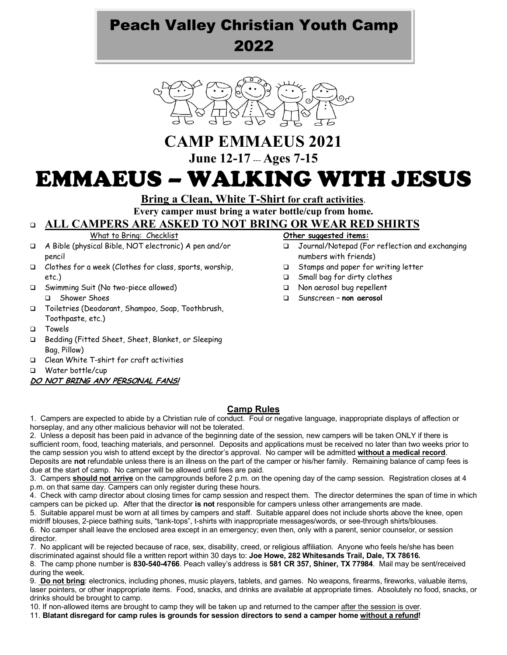## Peach Valley Christian Youth Camp 2022



# **CAMP EMMAEUS 2021**

**June 12-17** *---* **Ages 7-15**

# EMMAEUS – WALKING WITH JESUS

**Bring a Clean, White T-Shirt for craft activities**.

**Every camper must bring a water bottle/cup from home.** 

## <sup>q</sup> **ALL CAMPERS ARE ASKED TO NOT BRING OR WEAR RED SHIRTS**

What to Bring: Checklist

- q A Bible (physical Bible, NOT electronic) A pen and/or pencil
- q Clothes for a week (Clothes for class, sports, worship, etc.)
- □ Swimming Suit (No two-piece allowed) q Shower Shoes
- q Toiletries (Deodorant, Shampoo, Soap, Toothbrush, Toothpaste, etc.)
- q Towels
- q Bedding (Fitted Sheet, Sheet, Blanket, or Sleeping Bag, Pillow)
- q Clean White T-shirt for craft activities
- q Water bottle/cup
- **DO NOT BRING ANY PERSONAL FANS!**

#### **Other suggested items:**

- □ Journal/Notepad (For reflection and exchanging numbers with friends)
- □ Stamps and paper for writing letter
- □ Small bag for dirty clothes
- □ Non aerosol bug repellent
- q Sunscreen **non aerosol**

## **Camp Rules**

1. Campers are expected to abide by a Christian rule of conduct. Foul or negative language, inappropriate displays of affection or horseplay, and any other malicious behavior will not be tolerated.

2. Unless a deposit has been paid in advance of the beginning date of the session, new campers will be taken ONLY if there is sufficient room, food, teaching materials, and personnel. Deposits and applications must be received no later than two weeks prior to the camp session you wish to attend except by the director's approval. No camper will be admitted **without a medical record**. Deposits are **not** refundable unless there is an illness on the part of the camper or his/her family. Remaining balance of camp fees is due at the start of camp. No camper will be allowed until fees are paid.

3. Campers **should not arrive** on the campgrounds before 2 p.m. on the opening day of the camp session. Registration closes at 4 p.m. on that same day. Campers can only register during these hours.

4. Check with camp director about closing times for camp session and respect them. The director determines the span of time in which campers can be picked up. After that the director **is not** responsible for campers unless other arrangements are made.

5. Suitable apparel must be worn at all times by campers and staff. Suitable apparel does not include shorts above the knee, open midriff blouses, 2-piece bathing suits, "tank-tops", t-shirts with inappropriate messages/words, or see-through shirts/blouses. 6. No camper shall leave the enclosed area except in an emergency; even then, only with a parent, senior counselor, or session

director. 7. No applicant will be rejected because of race, sex, disability, creed, or religious affiliation. Anyone who feels he/she has been

discriminated against should file a written report within 30 days to: **Joe Howe, 282 Whitesands Trail, Dale, TX 78616.** 8. The camp phone number is **830-540-4766**. Peach valley's address is **581 CR 357, Shiner, TX 77984**. Mail may be sent/received

during the week.

9. **Do not bring**: electronics, including phones, music players, tablets, and games. No weapons, firearms, fireworks, valuable items, laser pointers, or other inappropriate items. Food, snacks, and drinks are available at appropriate times. Absolutely no food, snacks, or drinks should be brought to camp.

10. If non-allowed items are brought to camp they will be taken up and returned to the camper after the session is over.

11. **Blatant disregard for camp rules is grounds for session directors to send a camper home without a refund!**